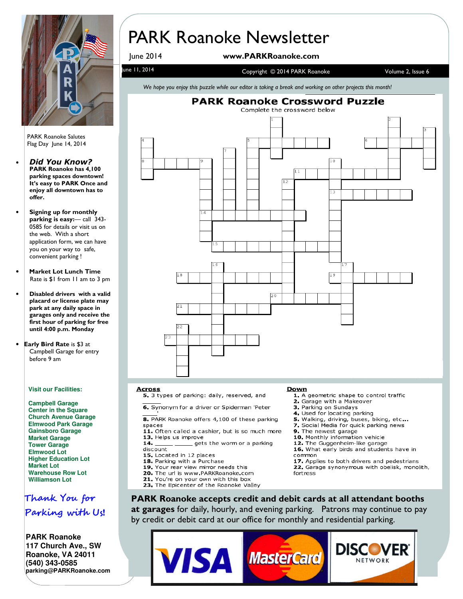

PARK Roanoke Salutes Flag Day June 14, 2014

- Did You Know? PARK Roanoke has 4,100 parking spaces downtown! It's easy to PARK Once and enjoy all downtown has to offer.
- Signing up for monthly parking is easy:— call 343- 0585 for details or visit us on the web. With a short application form, we can have you on your way to safe, convenient parking !
- Market Lot Lunch Time Rate is \$1 from 11 am to 3 pm
- Disabled drivers with a valid placard or license plate may park at any daily space in garages only and receive the first hour of parking for free until 4:00 p.m. Monday
- Early Bird Rate is \$3 at Campbell Garage for entry before 9 am

#### **Visit our Facilities:**

**Campbell Garage Center in the Square Church Avenue Garage Elmwood Park Garage Gainsboro Garage Market Garage Tower Garage Elmwood Lot Higher Education Lot Market Lot Warehouse Row Lot Williamson Lot**

### Thank You for Parking with Us!

**PARK Roanoke 117 Church Ave., SW Roanoke, VA 24011 (540) 343-0585 parking@PARKRoanoke.com** 

# PARK Roanoke Newsletter

### June 2014 www.PARKRoanoke.com

### une 11, 2014 **Volume 2, Issue 6** Copyright © 2014 PARK Roanoke Volume 2, Issue 6

We hope you enjoy this puzzle while our editor is taking a break and working on other projects this month!



#### **Across**

5. 3 types of parking: daily, reserved, and

6. Synonym for a driver or Spiderman 'Peter

8. PARK Roanoke offers 4,100 of these parking spaces

- 11. Often called a cashier, but is so much more 13. Helps us improve
- gets the worm or a parking 14. discount
- 15. Located in 12 places
- 18. Parking with a Purchase
- 19. Your rear view mirror needs this
- 20. The url is www.PARKRoanoke.com
- 21. You're on your own with this box
- 23. The Epicenter of the Roanoke Valley

#### Down

- 1 A geometric shape to control traffic
- 2. Garage with a Makeover
- 3 Parking on Sundays
- 4. Used for locating parking
- 5. Walking, driving, buses, biking, etc...
- 7. Social Media for quick parking news
- 9. The newest garage
- 10. Monthly information vehicle
- 12. The Guggenheim like garage
- 16. What early birds and students have in common
- 17. Applies to both drivers and pedestrians
- 22. Garage synonymous with obelisk, monolith, fortress

PARK Roanoke accepts credit and debit cards at all attendant booths at garages for daily, hourly, and evening parking. Patrons may continue to pay by credit or debit card at our office for monthly and residential parking.